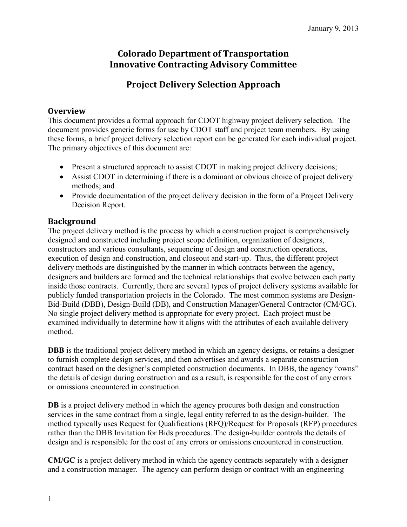# **Colorado Department of Transportation Innovative Contracting Advisory Committee**

# **Project Delivery Selection Approach**

## **Overview**

This document provides a formal approach for CDOT highway project delivery selection. The document provides generic forms for use by CDOT staff and project team members. By using these forms, a brief project delivery selection report can be generated for each individual project. The primary objectives of this document are:

- Present a structured approach to assist CDOT in making project delivery decisions;
- Assist CDOT in determining if there is a dominant or obvious choice of project delivery methods; and
- Provide documentation of the project delivery decision in the form of a Project Delivery Decision Report.

# **Background**

The project delivery method is the process by which a construction project is comprehensively designed and constructed including project scope definition, organization of designers, constructors and various consultants, sequencing of design and construction operations, execution of design and construction, and closeout and start-up. Thus, the different project delivery methods are distinguished by the manner in which contracts between the agency, designers and builders are formed and the technical relationships that evolve between each party inside those contracts. Currently, there are several types of project delivery systems available for publicly funded transportation projects in the Colorado. The most common systems are Design-Bid-Build (DBB), Design-Build (DB), and Construction Manager/General Contractor (CM/GC). No single project delivery method is appropriate for every project. Each project must be examined individually to determine how it aligns with the attributes of each available delivery method.

**DBB** is the traditional project delivery method in which an agency designs, or retains a designer to furnish complete design services, and then advertises and awards a separate construction contract based on the designer's completed construction documents. In DBB, the agency "owns" the details of design during construction and as a result, is responsible for the cost of any errors or omissions encountered in construction.

**DB** is a project delivery method in which the agency procures both design and construction services in the same contract from a single, legal entity referred to as the design-builder. The method typically uses Request for Qualifications (RFQ)/Request for Proposals (RFP) procedures rather than the DBB Invitation for Bids procedures. The design-builder controls the details of design and is responsible for the cost of any errors or omissions encountered in construction.

**CM/GC** is a project delivery method in which the agency contracts separately with a designer and a construction manager. The agency can perform design or contract with an engineering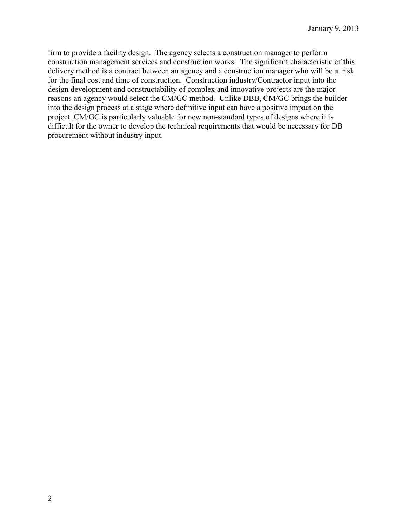firm to provide a facility design. The agency selects a construction manager to perform construction management services and construction works. The significant characteristic of this delivery method is a contract between an agency and a construction manager who will be at risk for the final cost and time of construction. Construction industry/Contractor input into the design development and constructability of complex and innovative projects are the major reasons an agency would select the CM/GC method. Unlike DBB, CM/GC brings the builder into the design process at a stage where definitive input can have a positive impact on the project. CM/GC is particularly valuable for new non-standard types of designs where it is difficult for the owner to develop the technical requirements that would be necessary for DB procurement without industry input.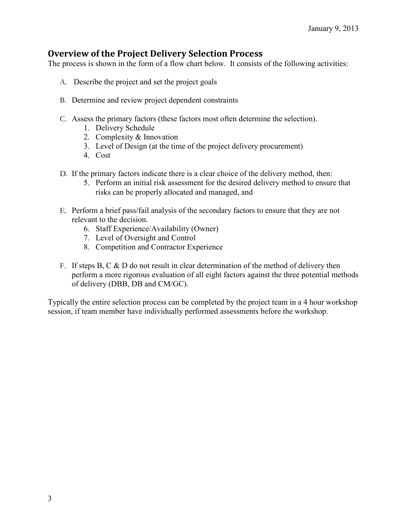# **Overview of the Project Delivery Selection Process**

The process is shown in the form of a flow chart below. It consists of the following activities:

- A. Describe the project and set the project goals
- B. Determine and review project dependent constraints
- C. Assess the primary factors (these factors most often determine the selection).
	- 1. Delivery Schedule
	- 2. Complexity & Innovation
	- 3. Level of Design (at the time of the project delivery procurement)
	- 4. Cost
- D. If the primary factors indicate there is a clear choice of the delivery method, then:
	- 5. Perform an initial risk assessment for the desired delivery method to ensure that risks can be properly allocated and managed, and
- E. Perform a brief pass/fail analysis of the secondary factors to ensure that they are not relevant to the decision.
	- 6. Staff Experience/Availability (Owner)
	- 7. Level of Oversight and Control
	- 8. Competition and Contractor Experience
- F. If steps B, C  $\&$  D do not result in clear determination of the method of delivery then perform a more rigorous evaluation of all eight factors against the three potential methods of delivery (DBB, DB and CM/GC).

Typically the entire selection process can be completed by the project team in a 4 hour workshop session, if team member have individually performed assessments before the workshop.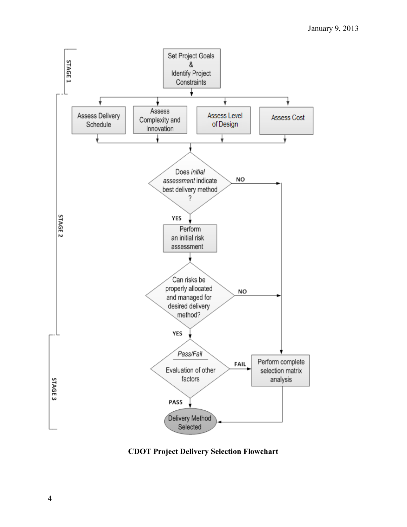

**CDOT Project Delivery Selection Flowchart**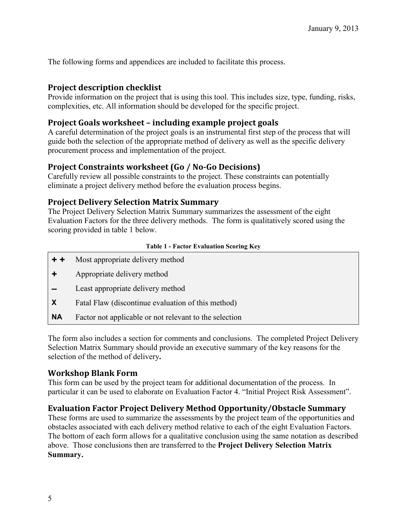The following forms and appendices are included to facilitate this process.

## **Project description checklist**

Provide information on the project that is using this tool. This includes size, type, funding, risks, complexities, etc. All information should be developed for the specific project.

# **Project Goals worksheet – including example project goals**

A careful determination of the project goals is an instrumental first step of the process that will guide both the selection of the appropriate method of delivery as well as the specific delivery procurement process and implementation of the project.

# **Project Constraints worksheet (Go / No-Go Decisions)**

Carefully review all possible constraints to the project. These constraints can potentially eliminate a project delivery method before the evaluation process begins.

# **Project Delivery Selection Matrix Summary**

The Project Delivery Selection Matrix Summary summarizes the assessment of the eight Evaluation Factors for the three delivery methods. The form is qualitatively scored using the scoring provided in table 1 below.

#### **Table 1 - Factor Evaluation Scoring Key**

- **+ +** Most appropriate delivery method
- **+** Appropriate delivery method
- **–** Least appropriate delivery method
- **X** Fatal Flaw (discontinue evaluation of this method)
- **NA** Factor not applicable or not relevant to the selection

The form also includes a section for comments and conclusions.The completed Project Delivery Selection Matrix Summary should provide an executive summary of the key reasons for the selection of the method of delivery**.**

# **Workshop Blank Form**

This form can be used by the project team for additional documentation of the process. In particular it can be used to elaborate on Evaluation Factor 4. "Initial Project Risk Assessment".

# **Evaluation Factor Project Delivery Method Opportunity/Obstacle Summary**

These forms are used to summarize the assessments by the project team of the opportunities and obstacles associated with each delivery method relative to each of the eight Evaluation Factors. The bottom of each form allows for a qualitative conclusion using the same notation as described above. Those conclusions then are transferred to the **Project Delivery Selection Matrix Summary.**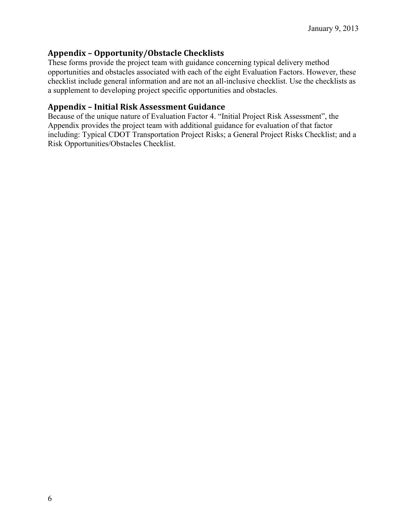# **Appendix – Opportunity/Obstacle Checklists**

These forms provide the project team with guidance concerning typical delivery method opportunities and obstacles associated with each of the eight Evaluation Factors. However, these checklist include general information and are not an all-inclusive checklist. Use the checklists as a supplement to developing project specific opportunities and obstacles.

## **Appendix – Initial Risk Assessment Guidance**

Because of the unique nature of Evaluation Factor 4. "Initial Project Risk Assessment", the Appendix provides the project team with additional guidance for evaluation of that factor including: Typical CDOT Transportation Project Risks; a General Project Risks Checklist; and a Risk Opportunities/Obstacles Checklist.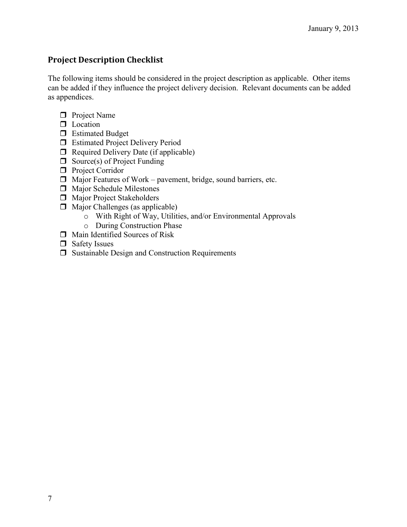# **Project Description Checklist**

The following items should be considered in the project description as applicable. Other items can be added if they influence the project delivery decision. Relevant documents can be added as appendices.

- **D** Project Name
- **D** Location
- **Estimated Budget**
- **Estimated Project Delivery Period**
- $\Box$  Required Delivery Date (if applicable)
- $\Box$  Source(s) of Project Funding
- **Project Corridor**
- $\Box$  Major Features of Work pavement, bridge, sound barriers, etc.
- $\Box$  Major Schedule Milestones
- **Major Project Stakeholders**
- $\Box$  Major Challenges (as applicable)
	- o With Right of Way, Utilities, and/or Environmental Approvals
	- o During Construction Phase
- Main Identified Sources of Risk
- Safety Issues
- $\Box$  Sustainable Design and Construction Requirements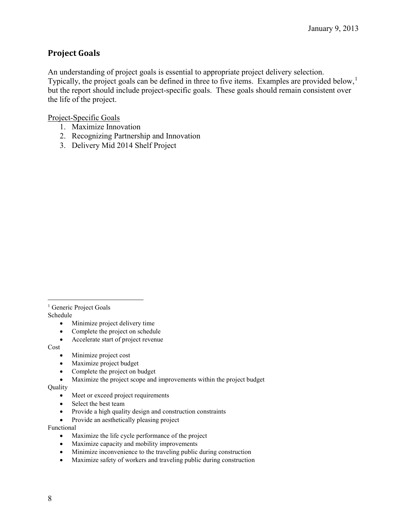# **Project Goals**

An understanding of project goals is essential to appropriate project delivery selection. Typically, the project goals can be defined in three to five items. Examples are provided below,<sup>[1](#page-7-0)</sup> but the report should include project-specific goals. These goals should remain consistent over the life of the project.

Project-Specific Goals

- 1. Maximize Innovation
- 2. Recognizing Partnership and Innovation
- 3. Delivery Mid 2014 Shelf Project

<span id="page-7-0"></span><sup>1</sup> Generic Project Goals Schedule

- Minimize project delivery time
- Complete the project on schedule
- Accelerate start of project revenue

Cost

- Minimize project cost
- Maximize project budget
- Complete the project on budget
- Maximize the project scope and improvements within the project budget

Quality

- Meet or exceed project requirements
- Select the best team
- Provide a high quality design and construction constraints
- Provide an aesthetically pleasing project

Functional

- Maximize the life cycle performance of the project
- Maximize capacity and mobility improvements
- Minimize inconvenience to the traveling public during construction
- Maximize safety of workers and traveling public during construction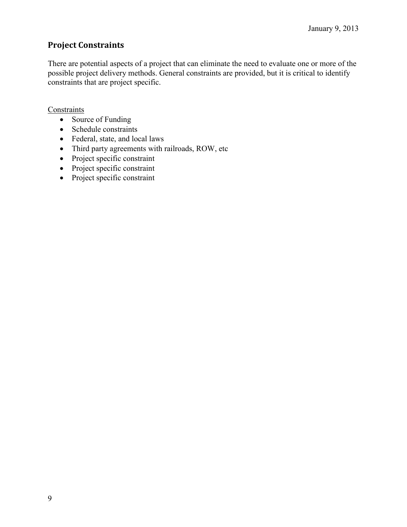# **Project Constraints**

There are potential aspects of a project that can eliminate the need to evaluate one or more of the possible project delivery methods. General constraints are provided, but it is critical to identify constraints that are project specific.

## **Constraints**

- Source of Funding
- Schedule constraints
- Federal, state, and local laws
- Third party agreements with railroads, ROW, etc
- Project specific constraint
- Project specific constraint
- Project specific constraint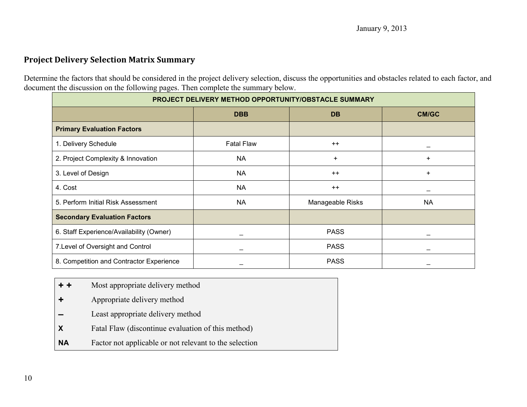# **Project Delivery Selection Matrix Summary**

Determine the factors that should be considered in the project delivery selection, discuss the opportunities and obstacles related to each factor, and document the discussion on the following pages. Then complete the summary below.

| PROJECT DELIVERY METHOD OPPORTUNITY/OBSTACLE SUMMARY |                   |                  |                          |
|------------------------------------------------------|-------------------|------------------|--------------------------|
|                                                      | <b>DBB</b>        | <b>DB</b>        | <b>CM/GC</b>             |
| <b>Primary Evaluation Factors</b>                    |                   |                  |                          |
| 1. Delivery Schedule                                 | <b>Fatal Flaw</b> | $++$             | $\overline{\phantom{0}}$ |
| 2. Project Complexity & Innovation                   | <b>NA</b>         | $\ddot{}$        | $\ddot{}$                |
| 3. Level of Design                                   | <b>NA</b>         | $++$             | $\ddot{}$                |
| 4. Cost                                              | <b>NA</b>         | $++$             |                          |
| 5. Perform Initial Risk Assessment                   | <b>NA</b>         | Manageable Risks | <b>NA</b>                |
| <b>Secondary Evaluation Factors</b>                  |                   |                  |                          |
| 6. Staff Experience/Availability (Owner)             |                   | <b>PASS</b>      | $\overline{\phantom{0}}$ |
| 7. Level of Oversight and Control                    |                   | <b>PASS</b>      |                          |
| 8. Competition and Contractor Experience             |                   | <b>PASS</b>      |                          |

- **+ +** Most appropriate delivery method
- **+** Appropriate delivery method
- **–** Least appropriate delivery method
- **X** Fatal Flaw (discontinue evaluation of this method)
- **NA** Factor not applicable or not relevant to the selection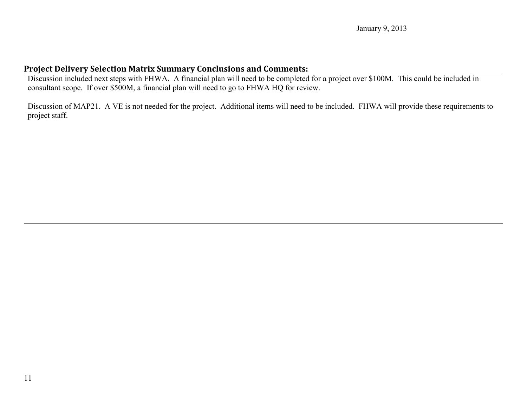# **Project Delivery Selection Matrix Summary Conclusions and Comments:**

Discussion included next steps with FHWA. A financial plan will need to be completed for a project over \$100M. This could be included in consultant scope. If over \$500M, a financial plan will need to go to FHWA HQ for review.

Discussion of MAP21. A VE is not needed for the project. Additional items will need to be included. FHWA will provide these requirements to project staff.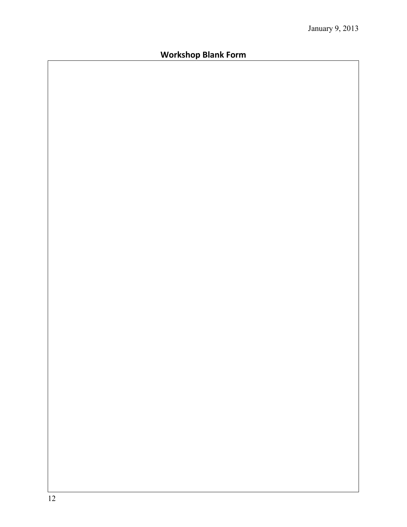# **Workshop Blank Form**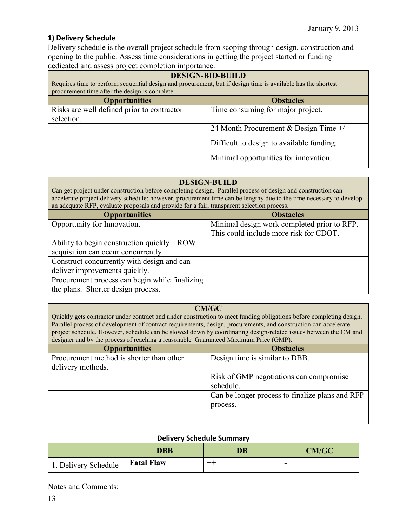## **1) Delivery Schedule**

Delivery schedule is the overall project schedule from scoping through design, construction and opening to the public. Assess time considerations in getting the project started or funding dedicated and assess project completion importance.

| <b>DESIGN-BID-BUILD</b><br>Requires time to perform sequential design and procurement, but if design time is available has the shortest<br>procurement time after the design is complete. |                                           |  |
|-------------------------------------------------------------------------------------------------------------------------------------------------------------------------------------------|-------------------------------------------|--|
| <b>Opportunities</b>                                                                                                                                                                      | <b>Obstacles</b>                          |  |
| Risks are well defined prior to contractor                                                                                                                                                | Time consuming for major project.         |  |
| selection.                                                                                                                                                                                |                                           |  |
|                                                                                                                                                                                           | 24 Month Procurement & Design Time $+/-$  |  |
|                                                                                                                                                                                           | Difficult to design to available funding. |  |
|                                                                                                                                                                                           | Minimal opportunities for innovation.     |  |

## **DESIGN-BUILD**

Can get project under construction before completing design. Parallel process of design and construction can accelerate project delivery schedule; however, procurement time can be lengthy due to the time necessary to develop an adequate RFP, evaluate proposals and provide for a fair, transparent selection process.

| <b>Opportunities</b>                           | <b>Obstacles</b>                            |
|------------------------------------------------|---------------------------------------------|
| Opportunity for Innovation.                    | Minimal design work completed prior to RFP. |
|                                                | This could include more risk for CDOT.      |
| Ability to begin construction quickly $-$ ROW  |                                             |
| acquisition can occur concurrently             |                                             |
| Construct concurrently with design and can     |                                             |
| deliver improvements quickly.                  |                                             |
| Procurement process can begin while finalizing |                                             |
| the plans. Shorter design process.             |                                             |

## **CM/GC**

Quickly gets contractor under contract and under construction to meet funding obligations before completing design. Parallel process of development of contract requirements, design, procurements, and construction can accelerate project schedule. However, schedule can be slowed down by coordinating design-related issues between the CM and designer and by the process of reaching a reasonable Guaranteed Maximum Price (GMP).

| <b>Opportunities</b>                     | <b>Obstacles</b>                                |
|------------------------------------------|-------------------------------------------------|
| Procurement method is shorter than other | Design time is similar to DBB.                  |
| delivery methods.                        |                                                 |
|                                          | Risk of GMP negotiations can compromise         |
|                                          | schedule.                                       |
|                                          | Can be longer process to finalize plans and RFP |
|                                          | process.                                        |
|                                          |                                                 |
|                                          |                                                 |

## **Delivery Schedule Summary**

|                      | <b>DBB</b>        | <b>DB</b> | <b>CM/GC</b> |
|----------------------|-------------------|-----------|--------------|
| 1. Delivery Schedule | <b>Fatal Flaw</b> |           |              |

Notes and Comments: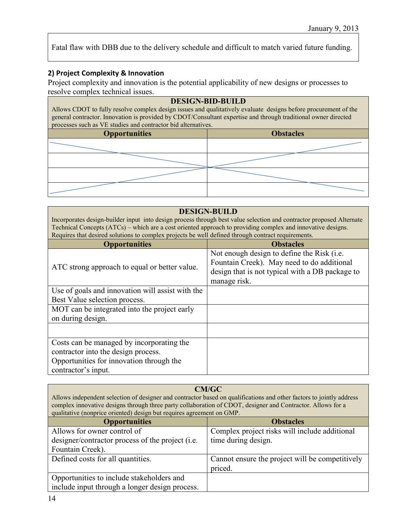Fatal flaw with DBB due to the delivery schedule and difficult to match varied future funding.

## **2) Project Complexity & Innovation**

Project complexity and innovation is the potential applicability of new designs or processes to resolve complex technical issues.

| <b>DESIGN-BID-BUILD</b><br>Allows CDOT to fully resolve complex design issues and qualitatively evaluate designs before procurement of the<br>general contractor. Innovation is provided by CDOT/Consultant expertise and through traditional owner directed<br>processes such as VE studies and contractor bid alternatives. |                  |  |
|-------------------------------------------------------------------------------------------------------------------------------------------------------------------------------------------------------------------------------------------------------------------------------------------------------------------------------|------------------|--|
| <b>Opportunities</b>                                                                                                                                                                                                                                                                                                          | <b>Obstacles</b> |  |
|                                                                                                                                                                                                                                                                                                                               |                  |  |
|                                                                                                                                                                                                                                                                                                                               |                  |  |
|                                                                                                                                                                                                                                                                                                                               |                  |  |
|                                                                                                                                                                                                                                                                                                                               |                  |  |

#### **DESIGN-BUILD**

Incorporates design-builder input into design process through best value selection and contractor proposed Alternate Technical Concepts (ATCs) – which are a cost oriented approach to providing complex and innovative designs. Requires that desired solutions to complex projects be well defined through contract requirements.

| <b>Opportunities</b>                             | <b>Obstacles</b>                                                                                                                                            |
|--------------------------------------------------|-------------------------------------------------------------------------------------------------------------------------------------------------------------|
| ATC strong approach to equal or better value.    | Not enough design to define the Risk (i.e.<br>Fountain Creek). May need to do additional<br>design that is not typical with a DB package to<br>manage risk. |
| Use of goals and innovation will assist with the |                                                                                                                                                             |
| Best Value selection process.                    |                                                                                                                                                             |
| MOT can be integrated into the project early     |                                                                                                                                                             |
| on during design.                                |                                                                                                                                                             |
|                                                  |                                                                                                                                                             |
| Costs can be managed by incorporating the        |                                                                                                                                                             |
| contractor into the design process.              |                                                                                                                                                             |
| Opportunities for innovation through the         |                                                                                                                                                             |
| contractor's input.                              |                                                                                                                                                             |

#### **CM/GC**

Allows independent selection of designer and contractor based on qualifications and other factors to jointly address complex innovative designs through three party collaboration of CDOT, designer and Contractor. Allows for a qualitative (nonprice oriented) design but requires agreement on GMP.

| <b>Opportunities</b>                                       | <b>Obstacles</b>                                |
|------------------------------------------------------------|-------------------------------------------------|
| Allows for owner control of                                | Complex project risks will include additional   |
| designer/contractor process of the project ( <i>i.e.</i> ) | time during design.                             |
| Fountain Creek).                                           |                                                 |
| Defined costs for all quantities.                          | Cannot ensure the project will be competitively |
|                                                            | priced.                                         |
| Opportunities to include stakeholders and                  |                                                 |
| include input through a longer design process.             |                                                 |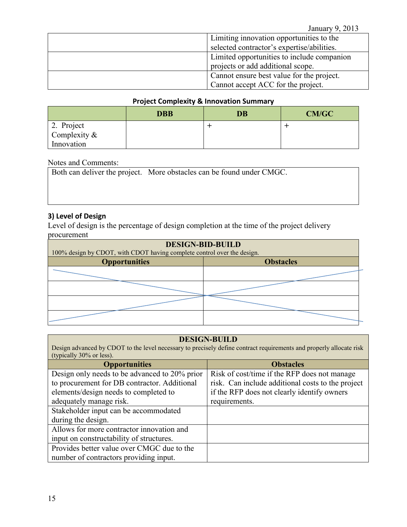| Limiting innovation opportunities to the   |
|--------------------------------------------|
| selected contractor's expertise/abilities. |
| Limited opportunities to include companion |
| projects or add additional scope.          |
| Cannot ensure best value for the project.  |
| Cannot accept ACC for the project.         |

## **Project Complexity & Innovation Summary**

|                            | <b>DBB</b> | <b>DB</b> | <b>CM/GC</b> |
|----------------------------|------------|-----------|--------------|
| 2. Project<br>Complexity & |            |           |              |
|                            |            |           |              |
| Innovation                 |            |           |              |

## Notes and Comments:

Both can deliver the project. More obstacles can be found under CMGC.

## **3) Level of Design**

Level of design is the percentage of design completion at the time of the project delivery procurement

| <b>DESIGN-BID-BUILD</b>                                                 |                  |  |
|-------------------------------------------------------------------------|------------------|--|
| 100% design by CDOT, with CDOT having complete control over the design. |                  |  |
| <b>Opportunities</b>                                                    | <b>Obstacles</b> |  |
|                                                                         |                  |  |
|                                                                         |                  |  |
|                                                                         |                  |  |
|                                                                         |                  |  |

## **DESIGN-BUILD**

Design advanced by CDOT to the level necessary to precisely define contract requirements and properly allocate risk (typically 30% or less).

| <b>Opportunities</b>                          | <b>Obstacles</b>                                  |
|-----------------------------------------------|---------------------------------------------------|
| Design only needs to be advanced to 20% prior | Risk of cost/time if the RFP does not manage      |
| to procurement for DB contractor. Additional  | risk. Can include additional costs to the project |
| elements/design needs to completed to         | if the RFP does not clearly identify owners       |
| adequately manage risk.                       | requirements.                                     |
| Stakeholder input can be accommodated         |                                                   |
| during the design.                            |                                                   |
| Allows for more contractor innovation and     |                                                   |
| input on constructability of structures.      |                                                   |
| Provides better value over CMGC due to the    |                                                   |
| number of contractors providing input.        |                                                   |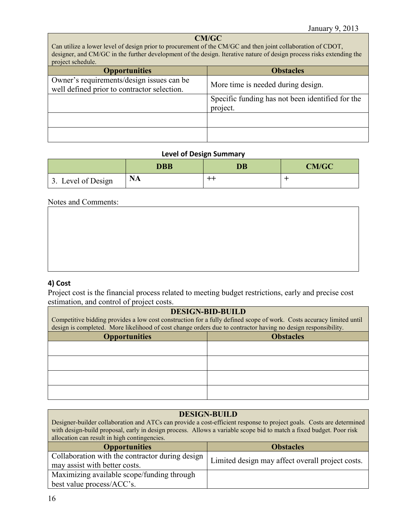## **CM/GC**

Can utilize a lower level of design prior to procurement of the CM/GC and then joint collaboration of CDOT, designer, and CM/GC in the further development of the design. Iterative nature of design process risks extending the project schedule.

| <b>Opportunities</b>                                                                     | <b>Obstacles</b>                                             |  |  |
|------------------------------------------------------------------------------------------|--------------------------------------------------------------|--|--|
| Owner's requirements/design issues can be<br>well defined prior to contractor selection. | More time is needed during design.                           |  |  |
|                                                                                          | Specific funding has not been identified for the<br>project. |  |  |
|                                                                                          |                                                              |  |  |
|                                                                                          |                                                              |  |  |

#### **Level of Design Summary**

|                    | <b>DBB</b> | DB    | <b>CM/GC</b> |
|--------------------|------------|-------|--------------|
| 3. Level of Design | <b>NA</b>  | $+ +$ |              |

#### Notes and Comments:

## **4) Cost**

Project cost is the financial process related to meeting budget restrictions, early and precise cost estimation, and control of project costs.

#### **DESIGN-BID-BUILD**

| Competitive bidding provides a low cost construction for a fully defined scope of work. Costs accuracy limited until<br>design is completed. More likelihood of cost change orders due to contractor having no design responsibility. |                  |  |
|---------------------------------------------------------------------------------------------------------------------------------------------------------------------------------------------------------------------------------------|------------------|--|
| <b>Opportunities</b>                                                                                                                                                                                                                  | <b>Obstacles</b> |  |
|                                                                                                                                                                                                                                       |                  |  |
|                                                                                                                                                                                                                                       |                  |  |
|                                                                                                                                                                                                                                       |                  |  |
|                                                                                                                                                                                                                                       |                  |  |

## **DESIGN-BUILD**

Designer-builder collaboration and ATCs can provide a cost-efficient response to project goals. Costs are determined with design-build proposal, early in design process. Allows a variable scope bid to match a fixed budget. Poor risk allocation can result in high contingencies.

| <b>Opportunities</b>                            | <b>Obstacles</b>                                 |  |
|-------------------------------------------------|--------------------------------------------------|--|
| Collaboration with the contractor during design | Limited design may affect overall project costs. |  |
| may assist with better costs.                   |                                                  |  |
| Maximizing available scope/funding through      |                                                  |  |
| best value process/ACC's.                       |                                                  |  |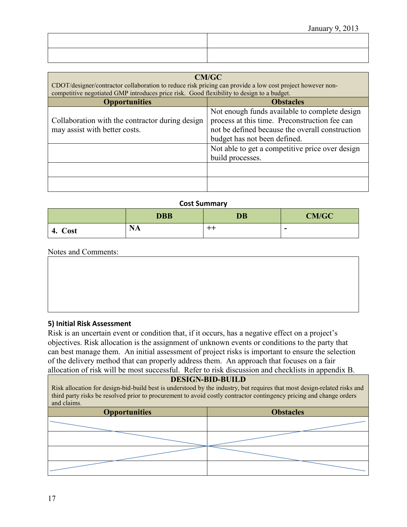| CM/GC<br>CDOT/designer/contractor collaboration to reduce risk pricing can provide a low cost project however non-<br>competitive negotiated GMP introduces price risk. Good flexibility to design to a budget.                                          |  |  |
|----------------------------------------------------------------------------------------------------------------------------------------------------------------------------------------------------------------------------------------------------------|--|--|
| <b>Obstacles</b>                                                                                                                                                                                                                                         |  |  |
| Not enough funds available to complete design<br>process at this time. Preconstruction fee can<br>not be defined because the overall construction<br>budget has not been defined.<br>Not able to get a competitive price over design<br>build processes. |  |  |
|                                                                                                                                                                                                                                                          |  |  |

#### **Cost Summary**

|            | <b>DBB</b>            | <b>DB</b> | <b>CM/GC</b> |
|------------|-----------------------|-----------|--------------|
| Cost<br>4. | $\mathbf{N}$ .<br>NA. | --        | -            |

Notes and Comments:

## **5) Initial Risk Assessment**

Risk is an uncertain event or condition that, if it occurs, has a negative effect on a project's objectives. Risk allocation is the assignment of unknown events or conditions to the party that can best manage them. An initial assessment of project risks is important to ensure the selection of the delivery method that can properly address them. An approach that focuses on a fair allocation of risk will be most successful. Refer to risk discussion and checklists in appendix B.

#### **DESIGN-BID-BUILD**

Risk allocation for design-bid-build best is understood by the industry, but requires that most design-related risks and third party risks be resolved prior to procurement to avoid costly contractor contingency pricing and change orders and claims.

| <b>Opportunities</b> | <b>Obstacles</b> |  |
|----------------------|------------------|--|
|                      |                  |  |
|                      |                  |  |
|                      |                  |  |
|                      |                  |  |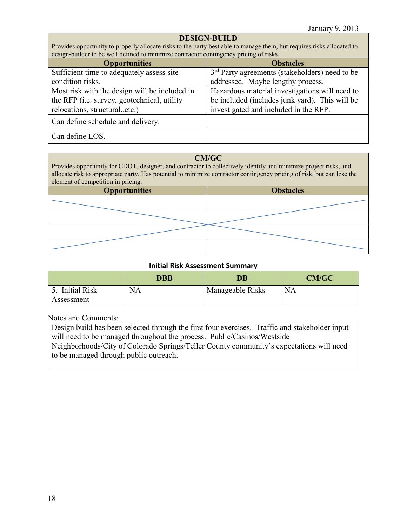## **DESIGN-BUILD**

Provides opportunity to properly allocate risks to the party best able to manage them, but requires risks allocated to design-builder to be well defined to minimize contractor contingency pricing of risks.

| <b>Opportunities</b>                                | <b>Obstacles</b>                                           |
|-----------------------------------------------------|------------------------------------------------------------|
| Sufficient time to adequately assess site           | 3 <sup>rd</sup> Party agreements (stakeholders) need to be |
| condition risks.                                    | addressed. Maybe lengthy process.                          |
| Most risk with the design will be included in       | Hazardous material investigations will need to             |
| the RFP ( <i>i.e.</i> survey, geotechnical, utility | be included (includes junk yard). This will be             |
| relocations, structuraletc.)                        | investigated and included in the RFP.                      |
| Can define schedule and delivery.                   |                                                            |
| Can define LOS.                                     |                                                            |

## **CM/GC**

Provides opportunity for CDOT, designer, and contractor to collectively identify and minimize project risks, and allocate risk to appropriate party. Has potential to minimize contractor contingency pricing of risk, but can lose the element of competition in pricing.

| element of component in priemg.          |  |  |
|------------------------------------------|--|--|
| <b>Obstacles</b><br><b>Opportunities</b> |  |  |
|                                          |  |  |
|                                          |  |  |
|                                          |  |  |
|                                          |  |  |

#### **Initial Risk Assessment Summary**

|                                   | DBB       | $\overline{\mathbf{D}}\mathbf{B}$ | <b>CM/GC</b> |
|-----------------------------------|-----------|-----------------------------------|--------------|
| <b>Initial Risk</b><br>Assessment | <b>NA</b> | Manageable Risks                  | NA           |

Notes and Comments:

Design build has been selected through the first four exercises. Traffic and stakeholder input will need to be managed throughout the process. Public/Casinos/Westside Neighborhoods/City of Colorado Springs/Teller County community's expectations will need to be managed through public outreach.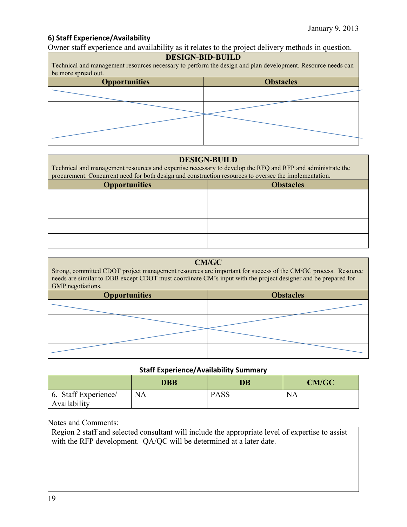## **6) Staff Experience/Availability**

Owner staff experience and availability as it relates to the project delivery methods in question.

#### **DESIGN-BID-BUILD**

Technical and management resources necessary to perform the design and plan development. Resource needs can be more spread out.

| <b>Opportunities</b> | <b>Obstacles</b> |  |
|----------------------|------------------|--|
|                      |                  |  |
|                      |                  |  |
|                      |                  |  |
|                      |                  |  |

#### **DESIGN-BUILD**

Technical and management resources and expertise necessary to develop the RFQ and RFP and administrate the procurement. Concurrent need for both design and construction resources to oversee the implementation.

| <b>Opportunities</b> | <b>Obstacles</b> |  |
|----------------------|------------------|--|
|                      |                  |  |
|                      |                  |  |
|                      |                  |  |
|                      |                  |  |
|                      |                  |  |

| <b>CM/GC</b><br>Strong, committed CDOT project management resources are important for success of the CM/GC process. Resource<br>needs are similar to DBB except CDOT must coordinate CM's input with the project designer and be prepared for<br>GMP negotiations. |  |  |
|--------------------------------------------------------------------------------------------------------------------------------------------------------------------------------------------------------------------------------------------------------------------|--|--|
| <b>Opportunities</b><br><b>Obstacles</b>                                                                                                                                                                                                                           |  |  |
|                                                                                                                                                                                                                                                                    |  |  |
|                                                                                                                                                                                                                                                                    |  |  |
|                                                                                                                                                                                                                                                                    |  |  |
|                                                                                                                                                                                                                                                                    |  |  |

## **Staff Experience/Availability Summary**

|                                      | DBB       | $\overline{\text{DB}}$ | CM/GC     |
|--------------------------------------|-----------|------------------------|-----------|
| 6. Staff Experience/<br>Availability | <b>NA</b> | <b>PASS</b>            | <b>NA</b> |

## Notes and Comments:

Region 2 staff and selected consultant will include the appropriate level of expertise to assist with the RFP development. QA/QC will be determined at a later date.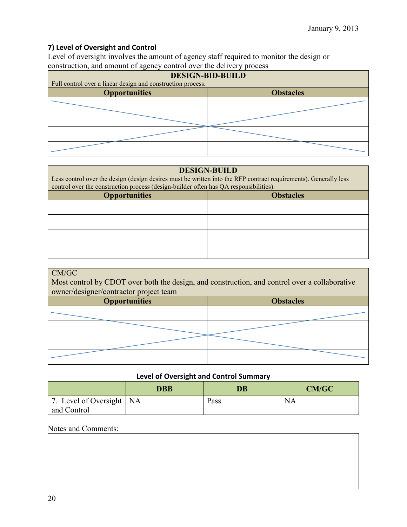# **7) Level of Oversight and Control**

Level of oversight involves the amount of agency staff required to monitor the design or construction, and amount of agency control over the delivery process

| <b>DESIGN-BID-BUILD</b>                                     |  |  |
|-------------------------------------------------------------|--|--|
| Full control over a linear design and construction process. |  |  |
| <b>Obstacles</b><br><b>Opportunities</b>                    |  |  |
|                                                             |  |  |
|                                                             |  |  |
|                                                             |  |  |
|                                                             |  |  |

#### **DESIGN-BUILD**

Less control over the design (design desires must be written into the RFP contract requirements). Generally less control over the construction process (design-builder often has QA responsibilities).

| <b>Opportunities</b> | <b>Obstacles</b> |  |
|----------------------|------------------|--|
|                      |                  |  |
|                      |                  |  |
|                      |                  |  |
|                      |                  |  |
|                      |                  |  |

#### CM/GC

Most control by CDOT over both the design, and construction, and control over a collaborative owner/designer/contractor project team

| <b>Opportunities</b> | <b>Obstacles</b> |  |
|----------------------|------------------|--|
|                      |                  |  |
|                      |                  |  |
|                      |                  |  |
|                      |                  |  |

## **Level of Oversight and Control Summary**

|                                           | DBB | $\overline{\mathbf{D}}\mathbf{B}$ | <b>CM/GC</b> |
|-------------------------------------------|-----|-----------------------------------|--------------|
| 7. Level of Oversight   NA<br>and Control |     | Pass                              | NA           |

## Notes and Comments: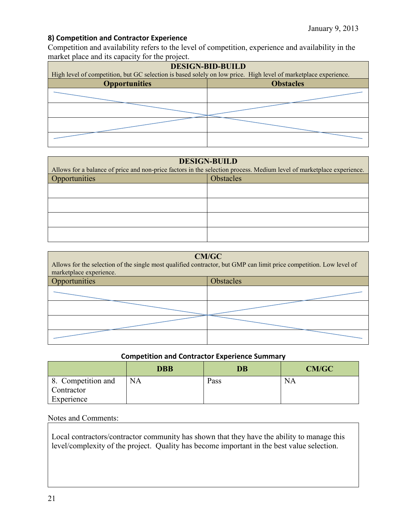# **8) Competition and Contractor Experience**

Competition and availability refers to the level of competition, experience and availability in the market place and its capacity for the project.

| <b>DESIGN-BID-BUILD</b>                                                                                         |                  |  |
|-----------------------------------------------------------------------------------------------------------------|------------------|--|
| High level of competition, but GC selection is based solely on low price. High level of marketplace experience. |                  |  |
| <b>Opportunities</b>                                                                                            | <b>Obstacles</b> |  |
|                                                                                                                 |                  |  |
|                                                                                                                 |                  |  |
|                                                                                                                 |                  |  |
|                                                                                                                 |                  |  |

| <b>DESIGN-BUILD</b>               |                                                                                                                       |  |  |
|-----------------------------------|-----------------------------------------------------------------------------------------------------------------------|--|--|
|                                   | Allows for a balance of price and non-price factors in the selection process. Medium level of marketplace experience. |  |  |
| Opportunities<br><b>Obstacles</b> |                                                                                                                       |  |  |
|                                   |                                                                                                                       |  |  |
|                                   |                                                                                                                       |  |  |
|                                   |                                                                                                                       |  |  |
|                                   |                                                                                                                       |  |  |

| <b>CM/GC</b><br>Allows for the selection of the single most qualified contractor, but GMP can limit price competition. Low level of<br>marketplace experience. |           |  |  |
|----------------------------------------------------------------------------------------------------------------------------------------------------------------|-----------|--|--|
| Opportunities                                                                                                                                                  | Obstacles |  |  |
|                                                                                                                                                                |           |  |  |
|                                                                                                                                                                |           |  |  |
|                                                                                                                                                                |           |  |  |
|                                                                                                                                                                |           |  |  |

## **Competition and Contractor Experience Summary**

|                                                | <b>DBB</b> | <b>DB</b> | <b>CM/GC</b> |
|------------------------------------------------|------------|-----------|--------------|
| 8. Competition and<br>Contractor<br>Experience | <b>NA</b>  | Pass      | <b>NA</b>    |

Notes and Comments:

Local contractors/contractor community has shown that they have the ability to manage this level/complexity of the project. Quality has become important in the best value selection.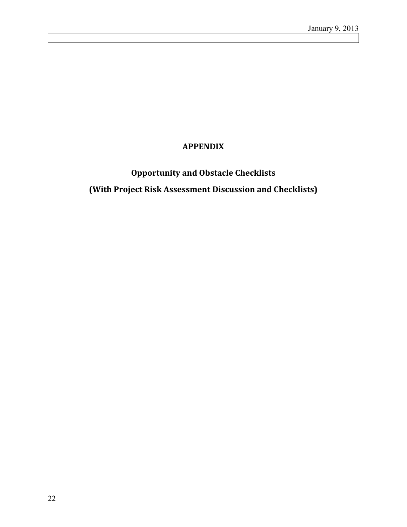# **APPENDIX**

# **Opportunity and Obstacle Checklists (With Project Risk Assessment Discussion and Checklists)**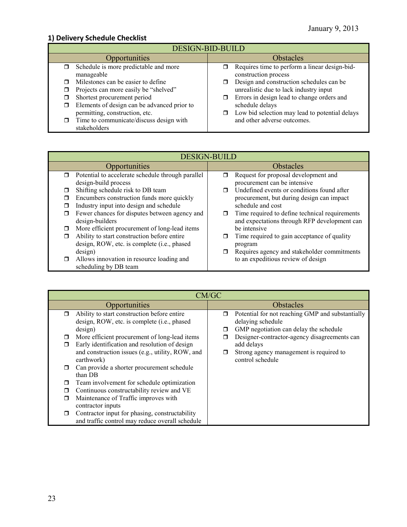# **1) Delivery Schedule Checklist**

| <b>DESIGN-BID-BUILD</b>                                                       |                                                                                    |  |  |
|-------------------------------------------------------------------------------|------------------------------------------------------------------------------------|--|--|
| <b>Opportunities</b>                                                          | <b>Obstacles</b>                                                                   |  |  |
| Schedule is more predictable and more<br>manageable                           | Requires time to perform a linear design-bid-<br>construction process              |  |  |
| Milestones can be easier to define<br>Projects can more easily be "shelved"   | Design and construction schedules can be<br>unrealistic due to lack industry input |  |  |
| Shortest procurement period                                                   | Errors in design lead to change orders and<br>$\Box$                               |  |  |
| Elements of design can be advanced prior to<br>permitting, construction, etc. | schedule delays<br>Low bid selection may lead to potential delays                  |  |  |
| Time to communicate/discuss design with<br>stakeholders                       | and other adverse outcomes.                                                        |  |  |

|        | <b>DESIGN-BUILD</b>                               |                  |                                                |
|--------|---------------------------------------------------|------------------|------------------------------------------------|
|        | Opportunities                                     | <b>Obstacles</b> |                                                |
| $\Box$ | Potential to accelerate schedule through parallel | π                | Request for proposal development and           |
|        | design-build process                              |                  | procurement can be intensive                   |
|        | Shifting schedule risk to DB team                 |                  | Undefined events or conditions found after     |
|        | Encumbers construction funds more quickly         |                  | procurement, but during design can impact      |
|        | Industry input into design and schedule           |                  | schedule and cost                              |
|        | Fewer chances for disputes between agency and     | σ                | Time required to define technical requirements |
|        | design-builders                                   |                  | and expectations through RFP development can   |
| □      | More efficient procurement of long-lead items     |                  | be intensive                                   |
| ⊓      | Ability to start construction before entire       |                  | Time required to gain acceptance of quality    |
|        | design, ROW, etc. is complete (i.e., phased       |                  | program                                        |
|        | design)                                           |                  | Requires agency and stakeholder commitments    |
| $\Box$ | Allows innovation in resource loading and         |                  | to an expeditious review of design             |
|        | scheduling by DB team                             |                  |                                                |

|        | CM/GC                                                                                                                                              |             |                                                                                                                 |  |
|--------|----------------------------------------------------------------------------------------------------------------------------------------------------|-------------|-----------------------------------------------------------------------------------------------------------------|--|
|        | Opportunities                                                                                                                                      | Obstacles   |                                                                                                                 |  |
| $\Box$ | Ability to start construction before entire<br>design, ROW, etc. is complete (i.e., phased<br>design)                                              | $\Box$<br>□ | Potential for not reaching GMP and substantially<br>delaying schedule<br>GMP negotiation can delay the schedule |  |
|        | More efficient procurement of long-lead items<br>Early identification and resolution of design<br>and construction issues (e.g., utility, ROW, and | $\Box$      | Designer-contractor-agency disagreements can<br>add delays<br>Strong agency management is required to           |  |
|        | earthwork)<br>Can provide a shorter procurement schedule<br>than DB                                                                                |             | control schedule                                                                                                |  |
|        | Team involvement for schedule optimization                                                                                                         |             |                                                                                                                 |  |
|        | Continuous constructability review and VE                                                                                                          |             |                                                                                                                 |  |
|        | Maintenance of Traffic improves with<br>contractor inputs                                                                                          |             |                                                                                                                 |  |
| ⊓      | Contractor input for phasing, constructability<br>and traffic control may reduce overall schedule                                                  |             |                                                                                                                 |  |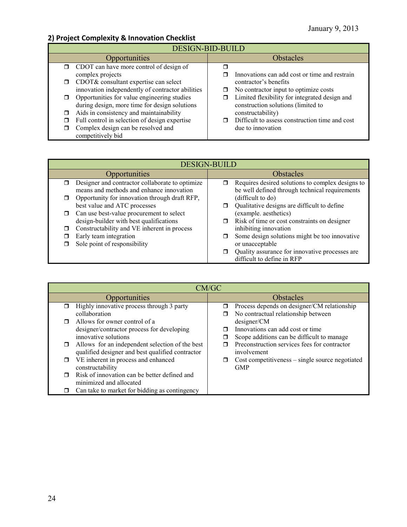# **2) Project Complexity & Innovation Checklist**

| <b>DESIGN-BID-BUILD</b> |                                                         |                  |                                                |
|-------------------------|---------------------------------------------------------|------------------|------------------------------------------------|
|                         | Opportunities                                           | <b>Obstacles</b> |                                                |
|                         | $\Box$ CDOT can have more control of design of          |                  |                                                |
|                         | complex projects                                        |                  | Innovations can add cost or time and restrain  |
| σ.                      | CDOT& consultant expertise can select                   |                  | contractor's benefits                          |
|                         | innovation independently of contractor abilities        | □                | No contractor input to optimize costs          |
|                         | Opportunities for value engineering studies             |                  | Limited flexibility for integrated design and  |
|                         | during design, more time for design solutions           |                  | construction solutions (limited to             |
| α.                      | Aids in consistency and maintainability                 |                  | constructability)                              |
| 0                       | Full control in selection of design expertise           | ⊓                | Difficult to assess construction time and cost |
|                         | Complex design can be resolved and<br>competitively bid |                  | due to innovation                              |

|        | <b>DESIGN-BUILD</b>                                                                         |                  |                                                                                                    |
|--------|---------------------------------------------------------------------------------------------|------------------|----------------------------------------------------------------------------------------------------|
|        | <b>Opportunities</b>                                                                        | <b>Obstacles</b> |                                                                                                    |
| $\Box$ | Designer and contractor collaborate to optimize<br>means and methods and enhance innovation | ⊓                | Requires desired solutions to complex designs to<br>be well defined through technical requirements |
| $\Box$ | Opportunity for innovation through draft RFP,                                               |                  | (difficult to do)                                                                                  |
|        | best value and ATC processes                                                                |                  | Qualitative designs are difficult to define                                                        |
| σ      | Can use best-value procurement to select<br>design-builder with best qualifications         |                  | (example. aesthetics)<br>Risk of time or cost constraints on designer                              |
| ⊓      | Constructability and VE inherent in process                                                 |                  | inhibiting innovation                                                                              |
|        | Early team integration                                                                      | □                | Some design solutions might be too innovative                                                      |
|        | Sole point of responsibility                                                                |                  | or unacceptable                                                                                    |
|        |                                                                                             |                  | Quality assurance for innovative processes are<br>difficult to define in RFP                       |

|   | CM/GC                                            |   |                                                 |  |
|---|--------------------------------------------------|---|-------------------------------------------------|--|
|   | Opportunities                                    |   | <b>Obstacles</b>                                |  |
|   | Highly innovative process through 3 party        | ⊓ | Process depends on designer/CM relationship     |  |
|   | collaboration                                    |   | No contractual relationship between             |  |
|   | Allows for owner control of a                    |   | designer/CM                                     |  |
|   | designer/contractor process for developing       |   | Innovations can add cost or time                |  |
|   | innovative solutions                             |   | Scope additions can be difficult to manage      |  |
| □ | Allows for an independent selection of the best  |   | Preconstruction services fees for contractor    |  |
|   | qualified designer and best qualified contractor |   | involvement                                     |  |
| □ | VE inherent in process and enhanced              | □ | Cost competitiveness – single source negotiated |  |
|   | constructability                                 |   | <b>GMP</b>                                      |  |
|   | Risk of innovation can be better defined and     |   |                                                 |  |
|   | minimized and allocated                          |   |                                                 |  |
|   | Can take to market for bidding as contingency    |   |                                                 |  |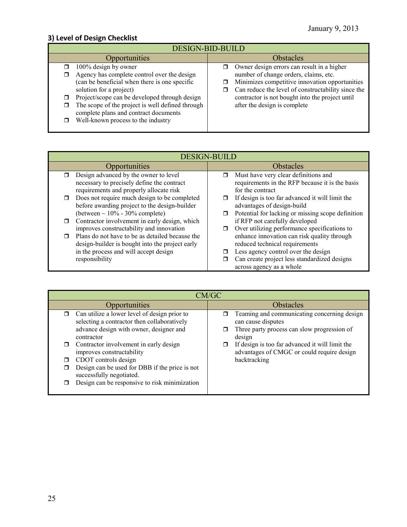# **3) Level of Design Checklist**

| <b>DESIGN-BID-BUILD</b>                                                                                                                                                                                                                                                                                                             |                                                                                                                                                                                                                                                                                     |  |  |
|-------------------------------------------------------------------------------------------------------------------------------------------------------------------------------------------------------------------------------------------------------------------------------------------------------------------------------------|-------------------------------------------------------------------------------------------------------------------------------------------------------------------------------------------------------------------------------------------------------------------------------------|--|--|
| Opportunities                                                                                                                                                                                                                                                                                                                       | <b>Obstacles</b>                                                                                                                                                                                                                                                                    |  |  |
| 100% design by owner<br>Agency has complete control over the design<br>(can be beneficial when there is one specific<br>solution for a project)<br>Project/scope can be developed through design<br>The scope of the project is well defined through<br>complete plans and contract documents<br>Well-known process to the industry | Owner design errors can result in a higher<br>σ<br>number of change orders, claims, etc.<br>Minimizes competitive innovation opportunities<br>Can reduce the level of constructability since the<br>contractor is not bought into the project until<br>after the design is complete |  |  |
|                                                                                                                                                                                                                                                                                                                                     |                                                                                                                                                                                                                                                                                     |  |  |

| <b>DESIGN-BUILD</b>                                     |                                                                                                                 |  |
|---------------------------------------------------------|-----------------------------------------------------------------------------------------------------------------|--|
| <b>Opportunities</b>                                    | <b>Obstacles</b>                                                                                                |  |
| Design advanced by the owner to level                   | Must have very clear definitions and                                                                            |  |
| necessary to precisely define the contract              | requirements in the RFP because it is the basis                                                                 |  |
| requirements and properly allocate risk                 | for the contract                                                                                                |  |
| Does not require much design to be completed            | If design is too far advanced it will limit the                                                                 |  |
| before awarding project to the design-builder           | advantages of design-build                                                                                      |  |
| (between $\sim 10\%$ - 30% complete)                    | Potential for lacking or missing scope definition                                                               |  |
| Contractor involvement in early design, which           | if RFP not carefully developed                                                                                  |  |
| improves constructability and innovation                | Over utilizing performance specifications to                                                                    |  |
| Plans do not have to be as detailed because the         | enhance innovation can risk quality through                                                                     |  |
| design-builder is bought into the project early         | reduced technical requirements                                                                                  |  |
| in the process and will accept design<br>responsibility | Less agency control over the design<br>Can create project less standardized designs<br>across agency as a whole |  |

| CM/GC                                                                                                                                                                                                                                                                                                                                                                                        |                                                                                                                                                                                                                                             |  |  |
|----------------------------------------------------------------------------------------------------------------------------------------------------------------------------------------------------------------------------------------------------------------------------------------------------------------------------------------------------------------------------------------------|---------------------------------------------------------------------------------------------------------------------------------------------------------------------------------------------------------------------------------------------|--|--|
| Opportunities                                                                                                                                                                                                                                                                                                                                                                                | Obstacles                                                                                                                                                                                                                                   |  |  |
| Can utilize a lower level of design prior to<br>$\Box$<br>selecting a contractor then collaboratively<br>advance design with owner, designer and<br>contractor<br>Contractor involvement in early design<br>improves constructability<br>CDOT controls design<br>Design can be used for DBB if the price is not<br>successfully negotiated.<br>Design can be responsive to risk minimization | Teaming and communicating concerning design<br>can cause disputes<br>Three party process can slow progression of<br>design<br>If design is too far advanced it will limit the<br>advantages of CMGC or could require design<br>backtracking |  |  |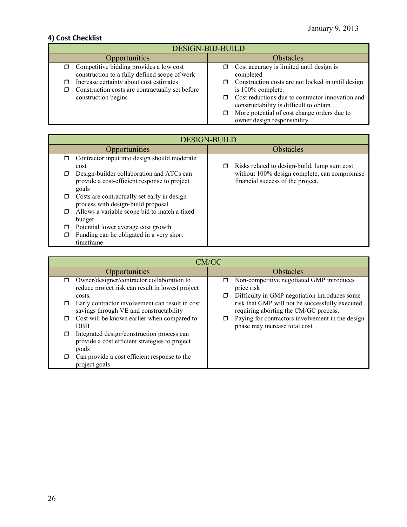# **4) Cost Checklist**

| <b>DESIGN-BID-BUILD</b>                                                                                           |                                                                                                                                 |  |  |
|-------------------------------------------------------------------------------------------------------------------|---------------------------------------------------------------------------------------------------------------------------------|--|--|
| Opportunities                                                                                                     | <b>Obstacles</b>                                                                                                                |  |  |
| $\Box$ Competitive bidding provides a low cost<br>construction to a fully defined scope of work                   | Cost accuracy is limited until design is<br>⊓<br>completed                                                                      |  |  |
| Increase certainty about cost estimates<br>Construction costs are contractually set before<br>construction begins | Construction costs are not locked in until design<br>⊓<br>is 100% complete.<br>Cost reductions due to contractor innovation and |  |  |
|                                                                                                                   | constructability is difficult to obtain<br>More potential of cost change orders due to<br>owner design responsibility           |  |  |

| <b>DESIGN-BUILD</b>                                                               |  |                                              |
|-----------------------------------------------------------------------------------|--|----------------------------------------------|
| Opportunities                                                                     |  | <b>Obstacles</b>                             |
| Contractor input into design should moderate                                      |  |                                              |
| cost                                                                              |  | Risks related to design-build, lump sum cost |
| Design-builder collaboration and ATCs can                                         |  | without 100% design complete, can compromise |
| provide a cost-efficient response to project<br>goals                             |  | financial success of the project.            |
| Costs are contractually set early in design<br>process with design-build proposal |  |                                              |
| Allows a variable scope bid to match a fixed                                      |  |                                              |
| budget                                                                            |  |                                              |
| Potential lower average cost growth                                               |  |                                              |
| Funding can be obligated in a very short                                          |  |                                              |
| timeframe                                                                         |  |                                              |

|        | CM/GC                                                                                                    |  |                                                                                                          |
|--------|----------------------------------------------------------------------------------------------------------|--|----------------------------------------------------------------------------------------------------------|
|        | Opportunities                                                                                            |  | <b>Obstacles</b>                                                                                         |
| $\Box$ | Owner/designer/contractor collaboration to<br>reduce project risk can result in lowest project<br>costs. |  | Non-competitive negotiated GMP introduces<br>price risk<br>Difficulty in GMP negotiation introduces some |
| □      | Early contractor involvement can result in cost<br>savings through VE and constructability               |  | risk that GMP will not be successfully executed<br>requiring aborting the CM/GC process.                 |
| $\Box$ | Cost will be known earlier when compared to<br><b>DBB</b>                                                |  | Paying for contractors involvement in the design<br>phase may increase total cost                        |
| ⊓      | Integrated design/construction process can<br>provide a cost efficient strategies to project<br>goals    |  |                                                                                                          |
| σ      | Can provide a cost efficient response to the<br>project goals                                            |  |                                                                                                          |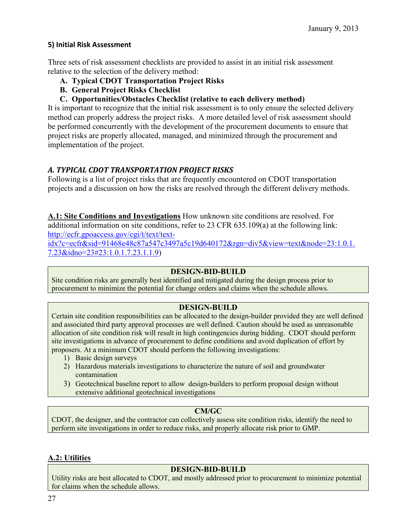## **5) Initial Risk Assessment**

Three sets of risk assessment checklists are provided to assist in an initial risk assessment relative to the selection of the delivery method:

- **A. Typical CDOT Transportation Project Risks**
- **B. General Project Risks Checklist**
- **C. Opportunities/Obstacles Checklist (relative to each delivery method)**

It is important to recognize that the initial risk assessment is to only ensure the selected delivery method can properly address the project risks. A more detailed level of risk assessment should be performed concurrently with the development of the procurement documents to ensure that project risks are properly allocated, managed, and minimized through the procurement and implementation of the project.

## *A. TYPICAL CDOT TRANSPORTATION PROJECT RISKS*

Following is a list of project risks that are frequently encountered on CDOT transportation projects and a discussion on how the risks are resolved through the different delivery methods.

**A.1: Site Conditions and Investigations** How unknown site conditions are resolved. For additional information on site conditions, refer to 23 CFR 635.109(a) at the following link: [http://ecfr.gpoaccess.gov/cgi/t/text/text-](http://ecfr.gpoaccess.gov/cgi/t/text/text-idx?c=ecfr&sid=91468e48c87a547c3497a5c19d640172&rgn=div5&view=text&node=23:1.0.1.7.23&idno=23#23:1.0.1.7.23.1.1.9)

[idx?c=ecfr&sid=91468e48c87a547c3497a5c19d640172&rgn=div5&view=text&node=23:1.0.1.](http://ecfr.gpoaccess.gov/cgi/t/text/text-idx?c=ecfr&sid=91468e48c87a547c3497a5c19d640172&rgn=div5&view=text&node=23:1.0.1.7.23&idno=23#23:1.0.1.7.23.1.1.9) [7.23&idno=23#23:1.0.1.7.23.1.1.9\)](http://ecfr.gpoaccess.gov/cgi/t/text/text-idx?c=ecfr&sid=91468e48c87a547c3497a5c19d640172&rgn=div5&view=text&node=23:1.0.1.7.23&idno=23#23:1.0.1.7.23.1.1.9)

## **DESIGN-BID-BUILD**

Site condition risks are generally best identified and mitigated during the design process prior to procurement to minimize the potential for change orders and claims when the schedule allows.

# **DESIGN-BUILD**

Certain site condition responsibilities can be allocated to the design-builder provided they are well defined and associated third party approval processes are well defined. Caution should be used as unreasonable allocation of site condition risk will result in high contingencies during bidding. CDOT should perform site investigations in advance of procurement to define conditions and avoid duplication of effort by proposers. At a minimum CDOT should perform the following investigations:

- 1) Basic design surveys
- 2) Hazardous materials investigations to characterize the nature of soil and groundwater contamination
- 3) Geotechnical baseline report to allow design-builders to perform proposal design without extensive additional geotechnical investigations

## **CM/GC**

CDOT, the designer, and the contractor can collectively assess site condition risks, identify the need to perform site investigations in order to reduce risks, and properly allocate risk prior to GMP.

## **A.2: Utilities**

## **DESIGN-BID-BUILD**

Utility risks are best allocated to CDOT, and mostly addressed prior to procurement to minimize potential for claims when the schedule allows.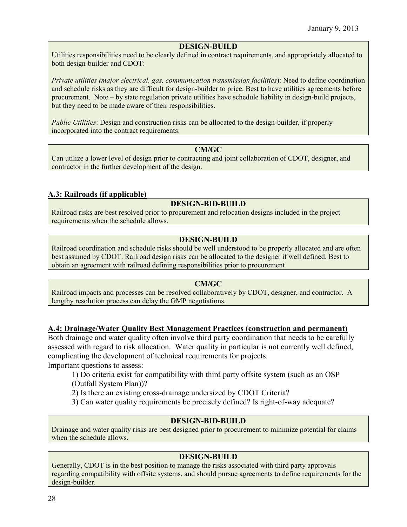## **DESIGN-BUILD**

Utilities responsibilities need to be clearly defined in contract requirements, and appropriately allocated to both design-builder and CDOT:

*Private utilities (major electrical, gas, communication transmission facilities*): Need to define coordination and schedule risks as they are difficult for design-builder to price. Best to have utilities agreements before procurement. Note – by state regulation private utilities have schedule liability in design-build projects, but they need to be made aware of their responsibilities.

*Public Utilities*: Design and construction risks can be allocated to the design-builder, if properly incorporated into the contract requirements.

#### **CM/GC**

Can utilize a lower level of design prior to contracting and joint collaboration of CDOT, designer, and contractor in the further development of the design.

## **A.3: Railroads (if applicable)**

## **DESIGN-BID-BUILD**

Railroad risks are best resolved prior to procurement and relocation designs included in the project requirements when the schedule allows.

# **DESIGN-BUILD**

Railroad coordination and schedule risks should be well understood to be properly allocated and are often best assumed by CDOT. Railroad design risks can be allocated to the designer if well defined. Best to obtain an agreement with railroad defining responsibilities prior to procurement

#### **CM/GC**

Railroad impacts and processes can be resolved collaboratively by CDOT, designer, and contractor. A lengthy resolution process can delay the GMP negotiations.

## **A.4: Drainage/Water Quality Best Management Practices (construction and permanent)**

Both drainage and water quality often involve third party coordination that needs to be carefully assessed with regard to risk allocation. Water quality in particular is not currently well defined, complicating the development of technical requirements for projects.

Important questions to assess:

1) Do criteria exist for compatibility with third party offsite system (such as an OSP (Outfall System Plan))?

2) Is there an existing cross-drainage undersized by CDOT Criteria?

3) Can water quality requirements be precisely defined? Is right-of-way adequate?

## **DESIGN-BID-BUILD**

Drainage and water quality risks are best designed prior to procurement to minimize potential for claims when the schedule allows.

## **DESIGN-BUILD**

Generally, CDOT is in the best position to manage the risks associated with third party approvals regarding compatibility with offsite systems, and should pursue agreements to define requirements for the design-builder.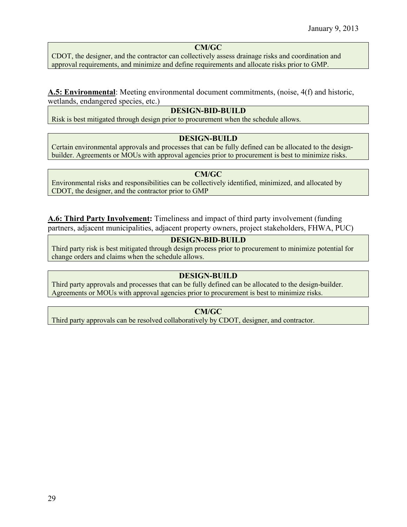## **CM/GC**

CDOT, the designer, and the contractor can collectively assess drainage risks and coordination and approval requirements, and minimize and define requirements and allocate risks prior to GMP.

## **A.5: Environmental**: Meeting environmental document commitments, (noise, 4(f) and historic, wetlands, endangered species, etc.)

## **DESIGN-BID-BUILD**

Risk is best mitigated through design prior to procurement when the schedule allows.

#### **DESIGN-BUILD**

Certain environmental approvals and processes that can be fully defined can be allocated to the designbuilder. Agreements or MOUs with approval agencies prior to procurement is best to minimize risks.

## **CM/GC**

Environmental risks and responsibilities can be collectively identified, minimized, and allocated by CDOT, the designer, and the contractor prior to GMP

**A.6: Third Party Involvement:** Timeliness and impact of third party involvement (funding partners, adjacent municipalities, adjacent property owners, project stakeholders, FHWA, PUC)

## **DESIGN-BID-BUILD**

Third party risk is best mitigated through design process prior to procurement to minimize potential for change orders and claims when the schedule allows.

## **DESIGN-BUILD**

Third party approvals and processes that can be fully defined can be allocated to the design-builder. Agreements or MOUs with approval agencies prior to procurement is best to minimize risks.

## **CM/GC**

Third party approvals can be resolved collaboratively by CDOT, designer, and contractor.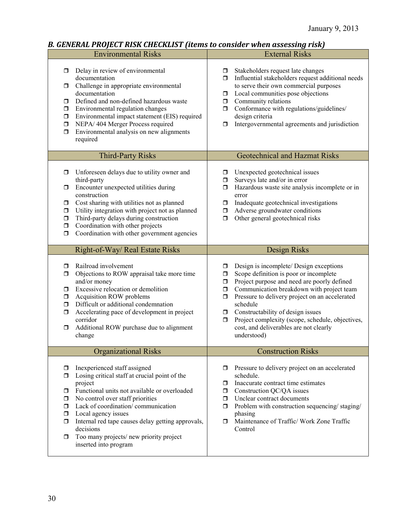# *B. GENERAL PROJECT RISK CHECKLIST (items to consider when assessing risk)*

|                                                            | <b>Environmental Risks</b>                                                                                                                                                                                                                                                                                                                                                     | <b>External Risks</b>                                                                                                                                                                                                                                                                                                                                                                                                                                     |
|------------------------------------------------------------|--------------------------------------------------------------------------------------------------------------------------------------------------------------------------------------------------------------------------------------------------------------------------------------------------------------------------------------------------------------------------------|-----------------------------------------------------------------------------------------------------------------------------------------------------------------------------------------------------------------------------------------------------------------------------------------------------------------------------------------------------------------------------------------------------------------------------------------------------------|
| σ.<br>σ.<br>σ.<br>□<br>$\Box$<br>$\Box$<br>σ               | Delay in review of environmental<br>documentation<br>Challenge in appropriate environmental<br>documentation<br>Defined and non-defined hazardous waste<br>Environmental regulation changes<br>Environmental impact statement (EIS) required<br>NEPA/ 404 Merger Process required<br>Environmental analysis on new alignments<br>required                                      | Stakeholders request late changes<br>$\Box$<br>Influential stakeholders request additional needs<br>$\Box$<br>to serve their own commercial purposes<br>Local communities pose objections<br>$\Box$<br>Community relations<br>$\Box$<br>Conformance with regulations/guidelines/<br>$\Box$<br>design criteria<br>Intergovernmental agreements and jurisdiction<br>σ                                                                                       |
|                                                            | <b>Third-Party Risks</b>                                                                                                                                                                                                                                                                                                                                                       | <b>Geotechnical and Hazmat Risks</b>                                                                                                                                                                                                                                                                                                                                                                                                                      |
| □<br>σ<br>$\Box$<br>$\Box$<br>$\Box$<br>$\Box$<br>$\Box$   | Unforeseen delays due to utility owner and<br>third-party<br>Encounter unexpected utilities during<br>construction<br>Cost sharing with utilities not as planned<br>Utility integration with project not as planned<br>Third-party delays during construction<br>Coordination with other projects<br>Coordination with other government agencies                               | Unexpected geotechnical issues<br>◻<br>Surveys late and/or in error<br>σ<br>Hazardous waste site analysis incomplete or in<br>0<br>error<br>Inadequate geotechnical investigations<br>σ.<br>Adverse groundwater conditions<br>$\Box$<br>Other general geotechnical risks<br>σ                                                                                                                                                                             |
|                                                            | Right-of-Way/ Real Estate Risks                                                                                                                                                                                                                                                                                                                                                | Design Risks                                                                                                                                                                                                                                                                                                                                                                                                                                              |
| ο.<br>$\Box$<br>$\Box$<br>$\Box$<br>$\Box$<br>σ<br>□       | Railroad involvement<br>Objections to ROW appraisal take more time<br>and/or money<br>Excessive relocation or demolition<br>Acquisition ROW problems<br>Difficult or additional condemnation<br>Accelerating pace of development in project<br>corridor<br>Additional ROW purchase due to alignment<br>change                                                                  | Design is incomplete/ Design exceptions<br>σ<br>Scope definition is poor or incomplete<br>$\Box$<br>Project purpose and need are poorly defined<br>$\Box$<br>Communication breakdown with project team<br>$\Box$<br>Pressure to delivery project on an accelerated<br>$\Box$<br>schedule<br>Constructability of design issues<br>□<br>Project complexity (scope, schedule, objectives,<br>$\Box$<br>cost, and deliverables are not clearly<br>understood) |
|                                                            | <b>Organizational Risks</b>                                                                                                                                                                                                                                                                                                                                                    | <b>Construction Risks</b>                                                                                                                                                                                                                                                                                                                                                                                                                                 |
| ◘<br>◘<br>σ.<br>σ.<br>$\Box$<br>$\Box$<br>$\Box$<br>$\Box$ | Inexperienced staff assigned<br>Losing critical staff at crucial point of the<br>project<br>Functional units not available or overloaded<br>No control over staff priorities<br>Lack of coordination/communication<br>Local agency issues<br>Internal red tape causes delay getting approvals,<br>decisions<br>Too many projects/new priority project<br>inserted into program | Pressure to delivery project on an accelerated<br>ο.<br>schedule.<br>Inaccurate contract time estimates<br>σ<br>Construction QC/QA issues<br>σ.<br>Unclear contract documents<br>σ.<br>Problem with construction sequencing/staging/<br>ο.<br>phasing<br>Maintenance of Traffic/ Work Zone Traffic<br>σ.<br>Control                                                                                                                                       |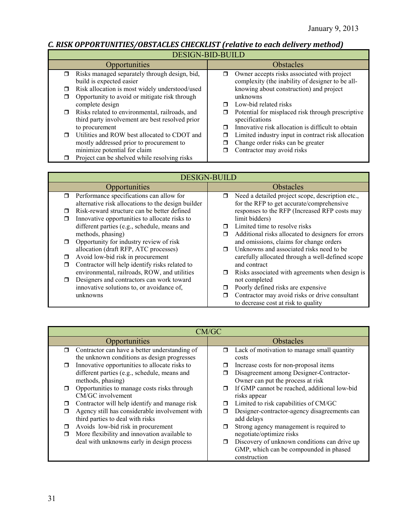## *C. RISK OPPORTUNITIES/OBSTACLES CHECKLIST (relative to each delivery method)*

DESIGN-BID-BUILD

| DESIGN-DID-DUILD                                         |                                                         |  |  |
|----------------------------------------------------------|---------------------------------------------------------|--|--|
| Opportunities                                            | <b>Obstacles</b>                                        |  |  |
| Risks managed separately through design, bid,<br>0       | Owner accepts risks associated with project<br>$\Box$   |  |  |
| build is expected easier                                 | complexity (the inability of designer to be all-        |  |  |
| Risk allocation is most widely understood/used<br>$\Box$ | knowing about construction) and project                 |  |  |
| Opportunity to avoid or mitigate risk through<br>◻       | unknowns                                                |  |  |
| complete design                                          | Low-bid related risks<br>⊓                              |  |  |
| Risks related to environmental, railroads, and<br>$\Box$ | Potential for misplaced risk through prescriptive<br>□  |  |  |
| third party involvement are best resolved prior          | specifications                                          |  |  |
| to procurement                                           | Innovative risk allocation is difficult to obtain<br>⊓  |  |  |
| Utilities and ROW best allocated to CDOT and<br>$\Box$   | Limited industry input in contract risk allocation<br>П |  |  |
| mostly addressed prior to procurement to                 | Change order risks can be greater                       |  |  |
| minimize potential for claim                             | Contractor may avoid risks                              |  |  |
| Project can be shelved while resolving risks             |                                                         |  |  |

|        | <b>DESIGN-BUILD</b>                                |    |                                                                                       |  |
|--------|----------------------------------------------------|----|---------------------------------------------------------------------------------------|--|
|        | Opportunities                                      |    | <b>Obstacles</b>                                                                      |  |
| $\Box$ | Performance specifications can allow for           | α. | Need a detailed project scope, description etc.,                                      |  |
|        | alternative risk allocations to the design builder |    | for the RFP to get accurate/comprehensive                                             |  |
| ⊓      | Risk-reward structure can be better defined        |    | responses to the RFP (Increased RFP costs may                                         |  |
| ⊓      | Innovative opportunities to allocate risks to      |    | limit bidders)                                                                        |  |
|        | different parties (e.g., schedule, means and       |    | Limited time to resolve risks                                                         |  |
|        | methods, phasing)                                  | π  | Additional risks allocated to designers for errors                                    |  |
| $\Box$ | Opportunity for industry review of risk            |    | and omissions, claims for change orders                                               |  |
|        | allocation (draft RFP, ATC processes)              |    | Unknowns and associated risks need to be                                              |  |
| $\Box$ | Avoid low-bid risk in procurement                  |    | carefully allocated through a well-defined scope                                      |  |
| ◘      | Contractor will help identify risks related to     |    | and contract                                                                          |  |
|        | environmental, railroads, ROW, and utilities       |    | Risks associated with agreements when design is                                       |  |
| ⊓      | Designers and contractors can work toward          |    | not completed                                                                         |  |
|        | innovative solutions to, or avoidance of,          |    | Poorly defined risks are expensive                                                    |  |
|        | unknowns                                           |    | Contractor may avoid risks or drive consultant<br>to decrease cost at risk to quality |  |

|        | CM/GC                                          |                  |                                              |
|--------|------------------------------------------------|------------------|----------------------------------------------|
|        | Opportunities                                  | <b>Obstacles</b> |                                              |
| $\Box$ | Contractor can have a better understanding of  | $\Box$           | Lack of motivation to manage small quantity  |
|        | the unknown conditions as design progresses    |                  | costs                                        |
| $\Box$ | Innovative opportunities to allocate risks to  |                  | Increase costs for non-proposal items        |
|        | different parties (e.g., schedule, means and   |                  | Disagreement among Designer-Contractor-      |
|        | methods, phasing)                              |                  | Owner can put the process at risk            |
| ο.     | Opportunities to manage costs risks through    |                  | If GMP cannot be reached, additional low-bid |
|        | CM/GC involvement                              |                  | risks appear                                 |
| □      | Contractor will help identify and manage risk  | $\Box$           | Limited to risk capabilities of CM/GC        |
| π      | Agency still has considerable involvement with |                  | Designer-contractor-agency disagreements can |
|        | third parties to deal with risks               |                  | add delays                                   |
| Ω      | Avoids low-bid risk in procurement             |                  | Strong agency management is required to      |
| ◘      | More flexibility and innovation available to   |                  | negotiate/optimize risks                     |
|        | deal with unknowns early in design process     |                  | Discovery of unknown conditions can drive up |
|        |                                                |                  | GMP, which can be compounded in phased       |
|        |                                                |                  | construction                                 |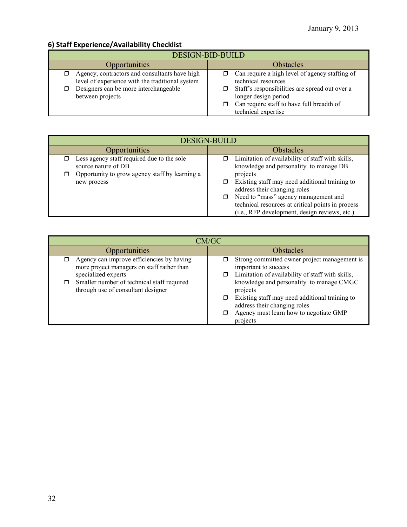# **6) Staff Experience/Availability Checklist**

| DESIGN-BID-BUILD                                                                                                                                              |                                                                                                                                                                                                                     |  |  |
|---------------------------------------------------------------------------------------------------------------------------------------------------------------|---------------------------------------------------------------------------------------------------------------------------------------------------------------------------------------------------------------------|--|--|
| Opportunities                                                                                                                                                 | <b>Obstacles</b>                                                                                                                                                                                                    |  |  |
| Agency, contractors and consultants have high<br>level of experience with the traditional system<br>Designers can be more interchangeable<br>between projects | Can require a high level of agency staffing of<br>technical resources<br>Staff's responsibilities are spread out over a<br>longer design period<br>Can require staff to have full breadth of<br>technical expertise |  |  |

| <b>DESIGN-BUILD</b>                                                                                                 |                                                                                                                                                                                                                                |  |  |
|---------------------------------------------------------------------------------------------------------------------|--------------------------------------------------------------------------------------------------------------------------------------------------------------------------------------------------------------------------------|--|--|
| Opportunities                                                                                                       | <b>Obstacles</b>                                                                                                                                                                                                               |  |  |
| Less agency staff required due to the sole<br>source nature of DB<br>Opportunity to grow agency staff by learning a | $\Box$ Limitation of availability of staff with skills,<br>knowledge and personality to manage DB<br>projects                                                                                                                  |  |  |
| new process                                                                                                         | Existing staff may need additional training to<br>address their changing roles<br>□ Need to "mass" agency management and<br>technical resources at critical points in process<br>(i.e., RFP development, design reviews, etc.) |  |  |

| CM/GC                                                                                                               |                                                                                                                                                                                              |  |  |
|---------------------------------------------------------------------------------------------------------------------|----------------------------------------------------------------------------------------------------------------------------------------------------------------------------------------------|--|--|
| <b>Opportunities</b>                                                                                                | <b>Obstacles</b>                                                                                                                                                                             |  |  |
| Agency can improve efficiencies by having<br>σ<br>more project managers on staff rather than<br>specialized experts | Strong committed owner project management is<br>important to success<br>Limitation of availability of staff with skills,<br>$\Box$                                                           |  |  |
| Smaller number of technical staff required<br>⊓<br>through use of consultant designer                               | knowledge and personality to manage CMGC<br>projects<br>Existing staff may need additional training to<br>address their changing roles<br>Agency must learn how to negotiate GMP<br>projects |  |  |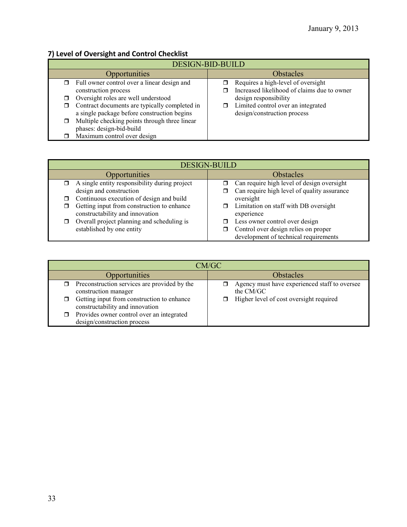# **7) Level of Oversight and Control Checklist**

| <b>DESIGN-BID-BUILD</b> |                                               |                  |                                             |
|-------------------------|-----------------------------------------------|------------------|---------------------------------------------|
| Opportunities           |                                               | <b>Obstacles</b> |                                             |
|                         | Full owner control over a linear design and   |                  | Requires a high-level of oversight          |
|                         | construction process                          |                  | Increased likelihood of claims due to owner |
|                         | Oversight roles are well understood           |                  | design responsibility                       |
|                         | Contract documents are typically completed in |                  | Limited control over an integrated          |
|                         | a single package before construction begins   |                  | design/construction process                 |
|                         | Multiple checking points through three linear |                  |                                             |
|                         | phases: design-bid-build                      |                  |                                             |
|                         | Maximum control over design                   |                  |                                             |

| <b>DESIGN-BUILD</b> |                                                                               |                  |                                                                               |
|---------------------|-------------------------------------------------------------------------------|------------------|-------------------------------------------------------------------------------|
| Opportunities       |                                                                               | <b>Obstacles</b> |                                                                               |
|                     | A single entity responsibility during project                                 |                  | Can require high level of design oversight                                    |
|                     | design and construction                                                       |                  | Can require high level of quality assurance                                   |
|                     | Continuous execution of design and build                                      |                  | oversight                                                                     |
|                     | Getting input from construction to enhance<br>constructability and innovation |                  | Limitation on staff with DB oversight<br>experience                           |
|                     | Overall project planning and scheduling is                                    |                  | Less owner control over design                                                |
|                     | established by one entity                                                     |                  | Control over design relies on proper<br>development of technical requirements |

| CM/GC                                                                              |                                                            |  |
|------------------------------------------------------------------------------------|------------------------------------------------------------|--|
| Opportunities                                                                      | <b>Obstacles</b>                                           |  |
| Preconstruction services are provided by the<br>0<br>construction manager          | Agency must have experienced staff to oversee<br>the CM/GC |  |
| Getting input from construction to enhance<br>◻<br>constructability and innovation | Higher level of cost oversight required                    |  |
| Provides owner control over an integrated<br>π.<br>design/construction process     |                                                            |  |